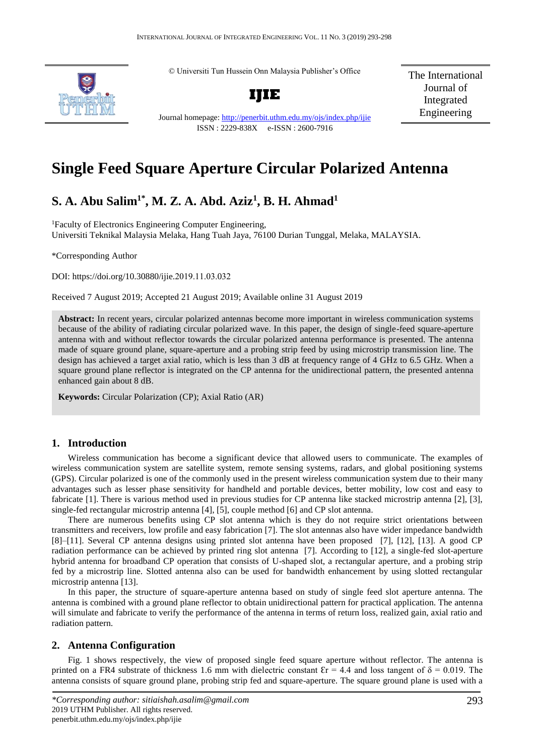© Universiti Tun Hussein Onn Malaysia Publisher's Office



**IJIE**

The International Journal of Integrated Engineering

Journal homepage:<http://penerbit.uthm.edu.my/ojs/index.php/ijie> ISSN : 2229-838X e-ISSN : 2600-7916

# **Single Feed Square Aperture Circular Polarized Antenna**

# **S. A. Abu Salim1\*, M. Z. A. Abd. Aziz<sup>1</sup> , B. H. Ahmad<sup>1</sup>**

<sup>1</sup>Faculty of Electronics Engineering Computer Engineering, Universiti Teknikal Malaysia Melaka, Hang Tuah Jaya, 76100 Durian Tunggal, Melaka, MALAYSIA.

\*Corresponding Author

DOI: https://doi.org/10.30880/ijie.2019.11.03.032

Received 7 August 2019; Accepted 21 August 2019; Available online 31 August 2019

**Abstract:** In recent years, circular polarized antennas become more important in wireless communication systems because of the ability of radiating circular polarized wave. In this paper, the design of single-feed square-aperture antenna with and without reflector towards the circular polarized antenna performance is presented. The antenna made of square ground plane, square-aperture and a probing strip feed by using microstrip transmission line. The design has achieved a target axial ratio, which is less than 3 dB at frequency range of 4 GHz to 6.5 GHz. When a square ground plane reflector is integrated on the CP antenna for the unidirectional pattern, the presented antenna enhanced gain about 8 dB.

**Keywords:** Circular Polarization (CP); Axial Ratio (AR)

### **1. Introduction**

Wireless communication has become a significant device that allowed users to communicate. The examples of wireless communication system are satellite system, remote sensing systems, radars, and global positioning systems (GPS). Circular polarized is one of the commonly used in the present wireless communication system due to their many advantages such as lesser phase sensitivity for handheld and portable devices, better mobility, low cost and easy to fabricate [1]. There is various method used in previous studies for CP antenna like stacked microstrip antenna [2], [3], single-fed rectangular microstrip antenna [4], [5], couple method [6] and CP slot antenna.

There are numerous benefits using CP slot antenna which is they do not require strict orientations between transmitters and receivers, low profile and easy fabrication [7]. The slot antennas also have wider impedance bandwidth [8]–[11]. Several CP antenna designs using printed slot antenna have been proposed [7], [12], [13]. A good CP radiation performance can be achieved by printed ring slot antenna [7]. According to [12], a single-fed slot-aperture hybrid antenna for broadband CP operation that consists of U-shaped slot, a rectangular aperture, and a probing strip fed by a microstrip line. Slotted antenna also can be used for bandwidth enhancement by using slotted rectangular microstrip antenna [13].

In this paper, the structure of square-aperture antenna based on study of single feed slot aperture antenna. The antenna is combined with a ground plane reflector to obtain unidirectional pattern for practical application. The antenna will simulate and fabricate to verify the performance of the antenna in terms of return loss, realized gain, axial ratio and radiation pattern.

#### **2. Antenna Configuration**

Fig. 1 shows respectively, the view of proposed single feed square aperture without reflector. The antenna is printed on a FR4 substrate of thickness 1.6 mm with dielectric constant  $\mathcal{E}r = 4.4$  and loss tangent of  $\delta = 0.019$ . The antenna consists of square ground plane, probing strip fed and square-aperture. The square ground plane is used with a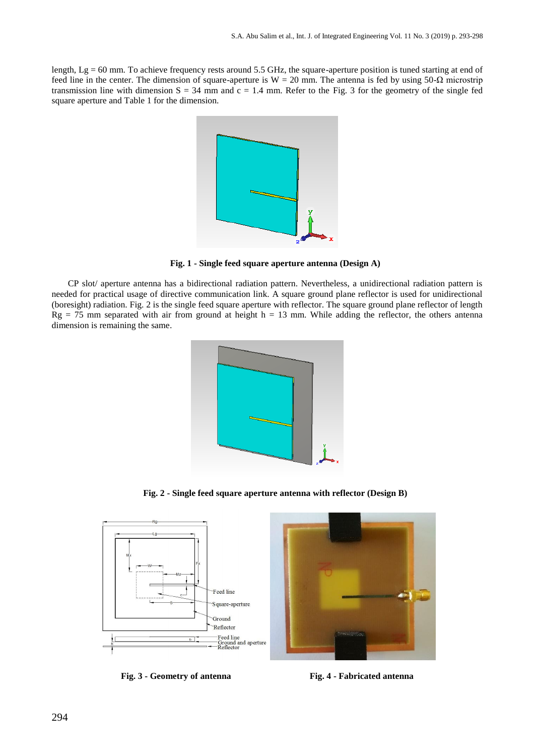length,  $Lg = 60$  mm. To achieve frequency rests around 5.5 GHz, the square-aperture position is tuned starting at end of feed line in the center. The dimension of square-aperture is W = 20 mm. The antenna is fed by using 50- $\Omega$  microstrip transmission line with dimension  $S = 34$  mm and  $c = 1.4$  mm. Refer to the Fig. 3 for the geometry of the single fed square aperture and Table 1 for the dimension.



**Fig. 1 - Single feed square aperture antenna (Design A)**

CP slot/ aperture antenna has a bidirectional radiation pattern. Nevertheless, a unidirectional radiation pattern is needed for practical usage of directive communication link. A square ground plane reflector is used for unidirectional (boresight) radiation. Fig. 2 is the single feed square aperture with reflector. The square ground plane reflector of length  $Rg = 75$  mm separated with air from ground at height h = 13 mm. While adding the reflector, the others antenna dimension is remaining the same.



**Fig. 2 - Single feed square aperture antenna with reflector (Design B)**



**Fig. 3 - Geometry of antenna Fig. 4 - Fabricated antenna**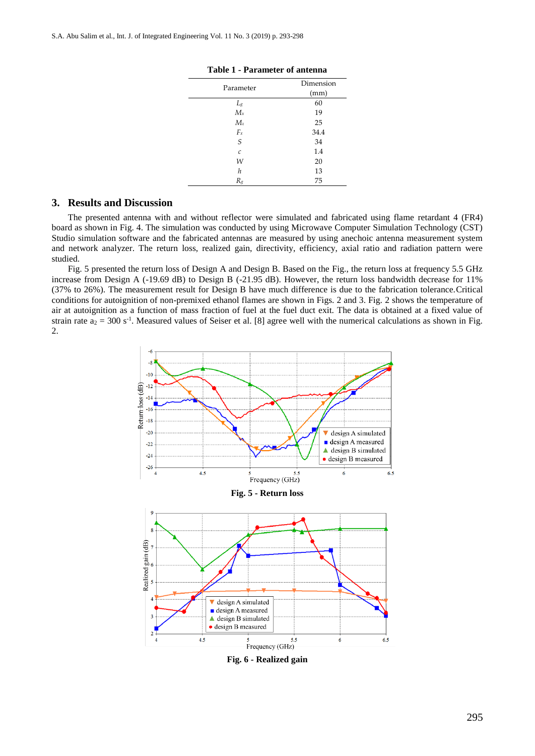| Parameter         | Dimension |
|-------------------|-----------|
|                   | (mm)      |
| $L_{g}$           | 60        |
| $M_{x}$           | 19        |
| $M_z$             | 25        |
| $F_x$             | 34.4      |
| S                 | 34        |
| $\mathcal{C}_{0}$ | 1.4       |
| W                 | 20        |
| h                 | 13        |
| $R_g$             | 75        |

#### **Table 1 - Parameter of antenna**

## **3. Results and Discussion**

The presented antenna with and without reflector were simulated and fabricated using flame retardant 4 (FR4) board as shown in Fig. 4. The simulation was conducted by using Microwave Computer Simulation Technology (CST) Studio simulation software and the fabricated antennas are measured by using anechoic antenna measurement system and network analyzer. The return loss, realized gain, directivity, efficiency, axial ratio and radiation pattern were studied.

Fig. 5 presented the return loss of Design A and Design B. Based on the Fig., the return loss at frequency 5.5 GHz increase from Design A (-19.69 dB) to Design B (-21.95 dB). However, the return loss bandwidth decrease for 11% (37% to 26%). The measurement result for Design B have much difference is due to the fabrication tolerance.Critical conditions for autoignition of non-premixed ethanol flames are shown in Figs. 2 and 3. Fig. 2 shows the temperature of air at autoignition as a function of mass fraction of fuel at the fuel duct exit. The data is obtained at a fixed value of strain rate  $a_2 = 300$  s<sup>-1</sup>. Measured values of Seiser et al. [8] agree well with the numerical calculations as shown in Fig. 2.



295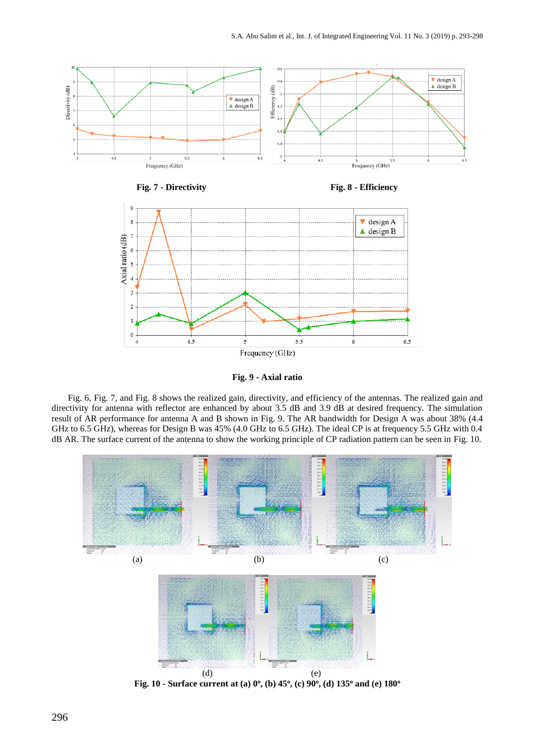

**Fig. 9 - Axial ratio**

Fig. 6, Fig. 7, and Fig. 8 shows the realized gain, directivity, and efficiency of the antennas. The realized gain and directivity for antenna with reflector are enhanced by about 3.5 dB and 3.9 dB at desired frequency. The simulation result of AR performance for antenna A and B shown in Fig. 9. The AR bandwidth for Design A was about 38% (4.4 GHz to 6.5 GHz), whereas for Design B was 45% (4.0 GHz to 6.5 GHz). The ideal CP is at frequency 5.5 GHz with 0.4 dB AR. The surface current of the antenna to show the working principle of CP radiation pattern can be seen in Fig. 10.

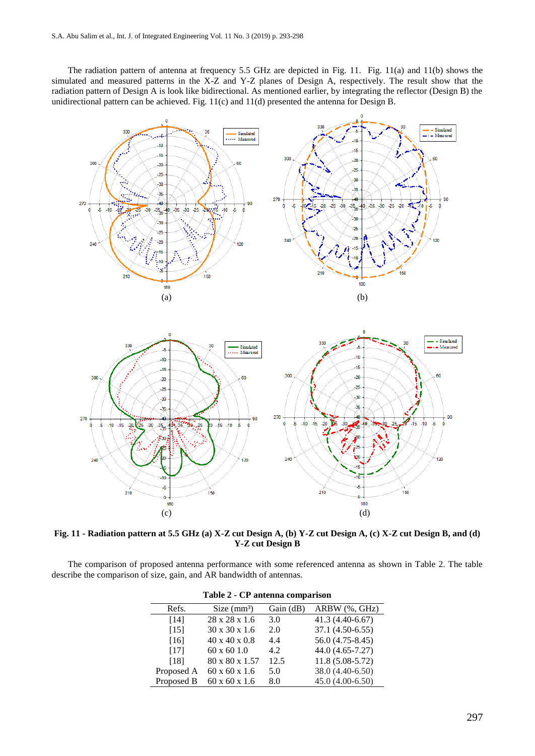The radiation pattern of antenna at frequency 5.5 GHz are depicted in Fig. 11. Fig. 11(a) and 11(b) shows the simulated and measured patterns in the X-Z and Y-Z planes of Design A, respectively. The result show that the radiation pattern of Design A is look like bidirectional. As mentioned earlier, by integrating the reflector (Design B) the unidirectional pattern can be achieved. Fig. 11(c) and 11(d) presented the antenna for Design B.



**Fig. 11 - Radiation pattern at 5.5 GHz (a) X-Z cut Design A, (b) Y-Z cut Design A, (c) X-Z cut Design B, and (d) Y-Z cut Design B**

The comparison of proposed antenna performance with some referenced antenna as shown in Table 2. The table describe the comparison of size, gain, and AR bandwidth of antennas.

| $1.0011$ $- 0.1.0011$ $- 0.0011$ $- 0.0011$ |                           |          |                   |  |  |  |  |  |
|---------------------------------------------|---------------------------|----------|-------------------|--|--|--|--|--|
| Refs.                                       | Size (mm <sup>3</sup> )   | Gain(dB) | ARBW (%, GHz)     |  |  |  |  |  |
| [14]                                        | 28 x 28 x 1.6             | 3.0      | $41.3(4.40-6.67)$ |  |  |  |  |  |
| [15]                                        | $30 \times 30 \times 1.6$ | 2.0      | 37.1 (4.50-6.55)  |  |  |  |  |  |
| [16]                                        | $40 \times 40 \times 0.8$ | 4.4      | 56.0 (4.75-8.45)  |  |  |  |  |  |
| [17]                                        | $60 \times 60$ 1.0        | 4.2      | 44.0 (4.65-7.27)  |  |  |  |  |  |
| [18]                                        | 80 x 80 x 1.57            | 12.5     | $11.8(5.08-5.72)$ |  |  |  |  |  |
| Proposed A                                  | $60 \times 60 \times 1.6$ | 5.0      | 38.0 (4.40-6.50)  |  |  |  |  |  |
| Proposed B                                  | $60 \times 60 \times 1.6$ | 8.0      | $45.0(4.00-6.50)$ |  |  |  |  |  |

| Table 2 - CP antenna comparison |  |  |  |  |
|---------------------------------|--|--|--|--|
|---------------------------------|--|--|--|--|